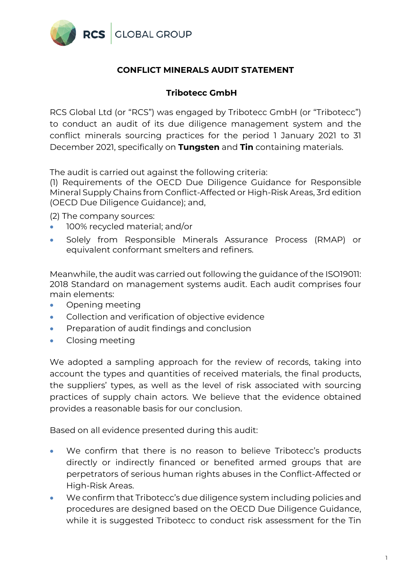

## **CONFLICT MINERALS AUDIT STATEMENT**

## **Tribotecc GmbH**

RCS Global Ltd (or "RCS") was engaged by Tribotecc GmbH (or "Tribotecc") to conduct an audit of its due diligence management system and the conflict minerals sourcing practices for the period 1 January 2021 to 31 December 2021, specifically on **Tungsten** and **Tin** containing materials.

The audit is carried out against the following criteria:

(1) Requirements of the OECD Due Diligence Guidance for Responsible Mineral Supply Chains from Conflict-Affected or High-Risk Areas, 3rd edition (OECD Due Diligence Guidance); and,

(2) The company sources:

- 100% recycled material; and/or
- Solely from Responsible Minerals Assurance Process (RMAP) or equivalent conformant smelters and refiners.

Meanwhile, the audit was carried out following the guidance of the ISO19011: 2018 Standard on management systems audit. Each audit comprises four main elements:

- Opening meeting
- Collection and verification of objective evidence
- Preparation of audit findings and conclusion
- Closing meeting

We adopted a sampling approach for the review of records, taking into account the types and quantities of received materials, the final products, the suppliers' types, as well as the level of risk associated with sourcing practices of supply chain actors. We believe that the evidence obtained provides a reasonable basis for our conclusion.

Based on all evidence presented during this audit:

- We confirm that there is no reason to believe Tribotecc's products directly or indirectly financed or benefited armed groups that are perpetrators of serious human rights abuses in the Conflict-Affected or High-Risk Areas.
- We confirm that Tribotecc's due diligence system including policies and procedures are designed based on the OECD Due Diligence Guidance, while it is suggested Tribotecc to conduct risk assessment for the Tin